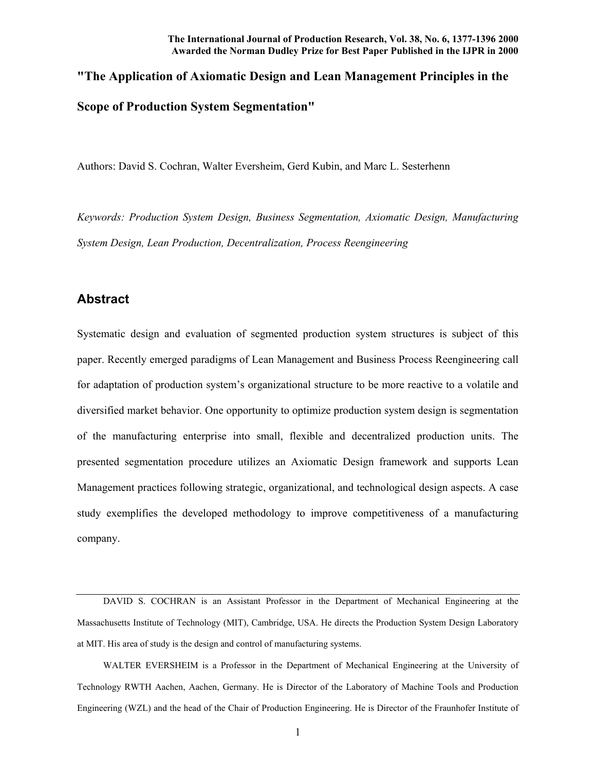# **"The Application of Axiomatic Design and Lean Management Principles in the Scope of Production System Segmentation"**

Authors: David S. Cochran, Walter Eversheim, Gerd Kubin, and Marc L. Sesterhenn

*Keywords: Production System Design, Business Segmentation, Axiomatic Design, Manufacturing System Design, Lean Production, Decentralization, Process Reengineering*

## **Abstract**

Systematic design and evaluation of segmented production system structures is subject of this paper. Recently emerged paradigms of Lean Management and Business Process Reengineering call for adaptation of production system's organizational structure to be more reactive to a volatile and diversified market behavior. One opportunity to optimize production system design is segmentation of the manufacturing enterprise into small, flexible and decentralized production units. The presented segmentation procedure utilizes an Axiomatic Design framework and supports Lean Management practices following strategic, organizational, and technological design aspects. A case study exemplifies the developed methodology to improve competitiveness of a manufacturing company.

 DAVID S. COCHRAN is an Assistant Professor in the Department of Mechanical Engineering at the Massachusetts Institute of Technology (MIT), Cambridge, USA. He directs the Production System Design Laboratory at MIT. His area of study is the design and control of manufacturing systems.

 WALTER EVERSHEIM is a Professor in the Department of Mechanical Engineering at the University of Technology RWTH Aachen, Aachen, Germany. He is Director of the Laboratory of Machine Tools and Production Engineering (WZL) and the head of the Chair of Production Engineering. He is Director of the Fraunhofer Institute of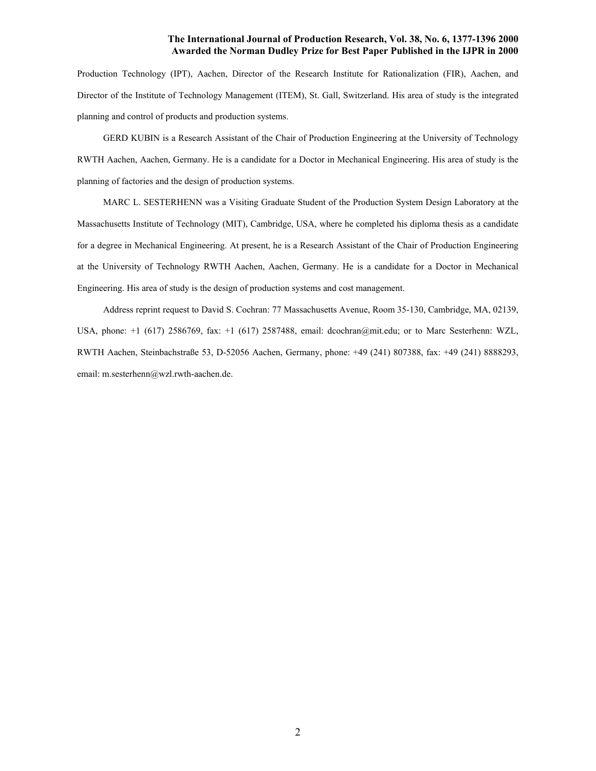Production Technology (IPT), Aachen, Director of the Research Institute for Rationalization (FIR), Aachen, and Director of the Institute of Technology Management (ITEM), St. Gall, Switzerland. His area of study is the integrated planning and control of products and production systems.

 GERD KUBIN is a Research Assistant of the Chair of Production Engineering at the University of Technology RWTH Aachen, Aachen, Germany. He is a candidate for a Doctor in Mechanical Engineering. His area of study is the planning of factories and the design of production systems.

 MARC L. SESTERHENN was a Visiting Graduate Student of the Production System Design Laboratory at the Massachusetts Institute of Technology (MIT), Cambridge, USA, where he completed his diploma thesis as a candidate for a degree in Mechanical Engineering. At present, he is a Research Assistant of the Chair of Production Engineering at the University of Technology RWTH Aachen, Aachen, Germany. He is a candidate for a Doctor in Mechanical Engineering. His area of study is the design of production systems and cost management.

 Address reprint request to David S. Cochran: 77 Massachusetts Avenue, Room 35-130, Cambridge, MA, 02139, USA, phone: +1 (617) 2586769, fax: +1 (617) 2587488, email: dcochran@mit.edu; or to Marc Sesterhenn: WZL, RWTH Aachen, Steinbachstraße 53, D-52056 Aachen, Germany, phone: +49 (241) 807388, fax: +49 (241) 8888293, email: m.sesterhenn@wzl.rwth-aachen.de.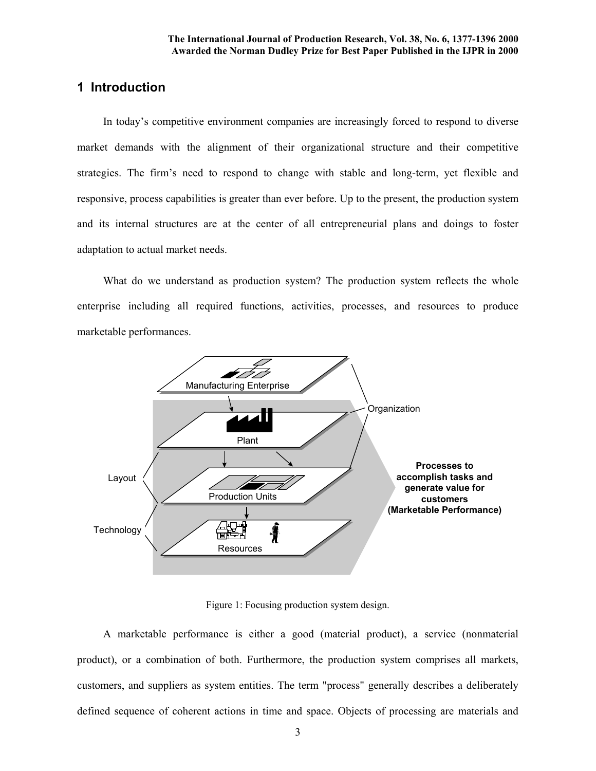# **1 Introduction**

 In today's competitive environment companies are increasingly forced to respond to diverse market demands with the alignment of their organizational structure and their competitive strategies. The firm's need to respond to change with stable and long-term, yet flexible and responsive, process capabilities is greater than ever before. Up to the present, the production system and its internal structures are at the center of all entrepreneurial plans and doings to foster adaptation to actual market needs.

What do we understand as production system? The production system reflects the whole enterprise including all required functions, activities, processes, and resources to produce marketable performances.



Figure 1: Focusing production system design.

 A marketable performance is either a good (material product), a service (nonmaterial product), or a combination of both. Furthermore, the production system comprises all markets, customers, and suppliers as system entities. The term "process" generally describes a deliberately defined sequence of coherent actions in time and space. Objects of processing are materials and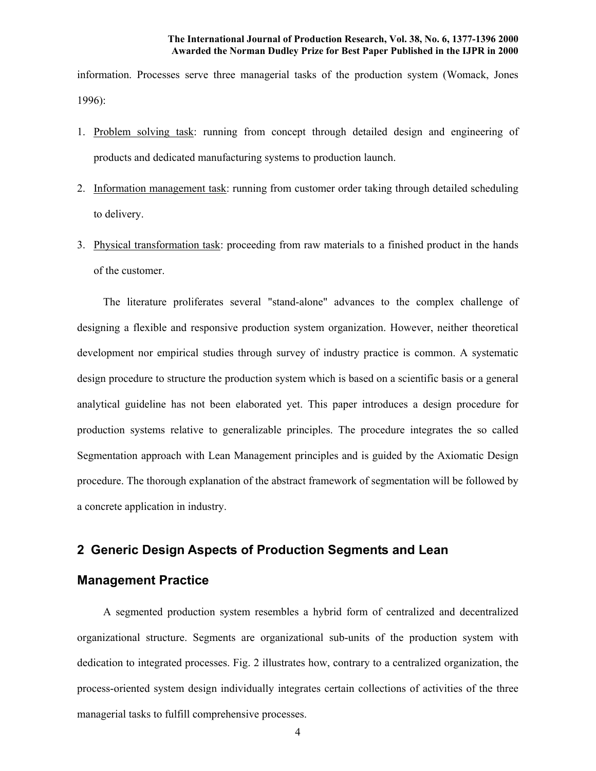information. Processes serve three managerial tasks of the production system (Womack, Jones 1996):

- 1. Problem solving task: running from concept through detailed design and engineering of products and dedicated manufacturing systems to production launch.
- 2. Information management task: running from customer order taking through detailed scheduling to delivery.
- 3. Physical transformation task: proceeding from raw materials to a finished product in the hands of the customer.

The literature proliferates several "stand-alone" advances to the complex challenge of designing a flexible and responsive production system organization. However, neither theoretical development nor empirical studies through survey of industry practice is common. A systematic design procedure to structure the production system which is based on a scientific basis or a general analytical guideline has not been elaborated yet. This paper introduces a design procedure for production systems relative to generalizable principles. The procedure integrates the so called Segmentation approach with Lean Management principles and is guided by the Axiomatic Design procedure. The thorough explanation of the abstract framework of segmentation will be followed by a concrete application in industry.

### **2 Generic Design Aspects of Production Segments and Lean**

# **Management Practice**

A segmented production system resembles a hybrid form of centralized and decentralized organizational structure. Segments are organizational sub-units of the production system with dedication to integrated processes. Fig. 2 illustrates how, contrary to a centralized organization, the process-oriented system design individually integrates certain collections of activities of the three managerial tasks to fulfill comprehensive processes.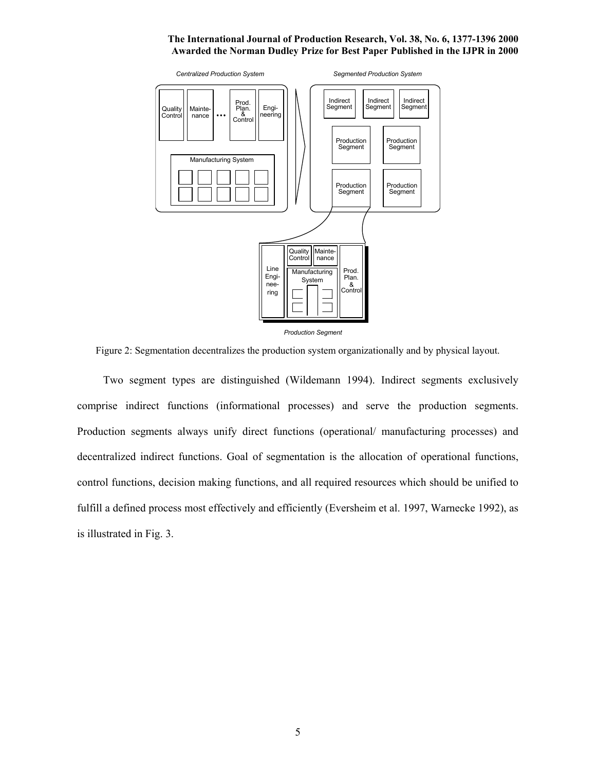

Figure 2: Segmentation decentralizes the production system organizationally and by physical layout.

 Two segment types are distinguished (Wildemann 1994). Indirect segments exclusively comprise indirect functions (informational processes) and serve the production segments. Production segments always unify direct functions (operational/ manufacturing processes) and decentralized indirect functions. Goal of segmentation is the allocation of operational functions, control functions, decision making functions, and all required resources which should be unified to fulfill a defined process most effectively and efficiently (Eversheim et al. 1997, Warnecke 1992), as is illustrated in Fig. 3.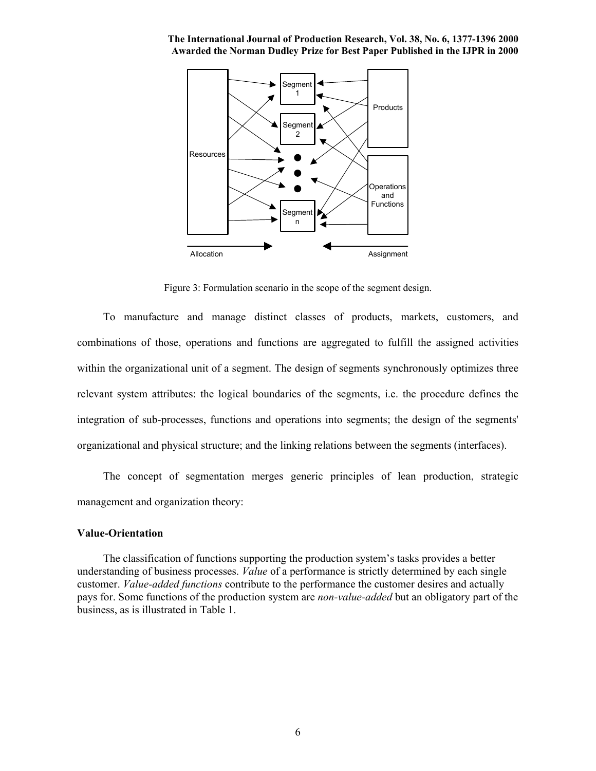

Figure 3: Formulation scenario in the scope of the segment design.

 To manufacture and manage distinct classes of products, markets, customers, and combinations of those, operations and functions are aggregated to fulfill the assigned activities within the organizational unit of a segment. The design of segments synchronously optimizes three relevant system attributes: the logical boundaries of the segments, i.e. the procedure defines the integration of sub-processes, functions and operations into segments; the design of the segments' organizational and physical structure; and the linking relations between the segments (interfaces).

 The concept of segmentation merges generic principles of lean production, strategic management and organization theory:

#### **Value-Orientation**

 The classification of functions supporting the production system's tasks provides a better understanding of business processes. *Value* of a performance is strictly determined by each single customer. *Value-added functions* contribute to the performance the customer desires and actually pays for. Some functions of the production system are *non-value-added* but an obligatory part of the business, as is illustrated in Table 1.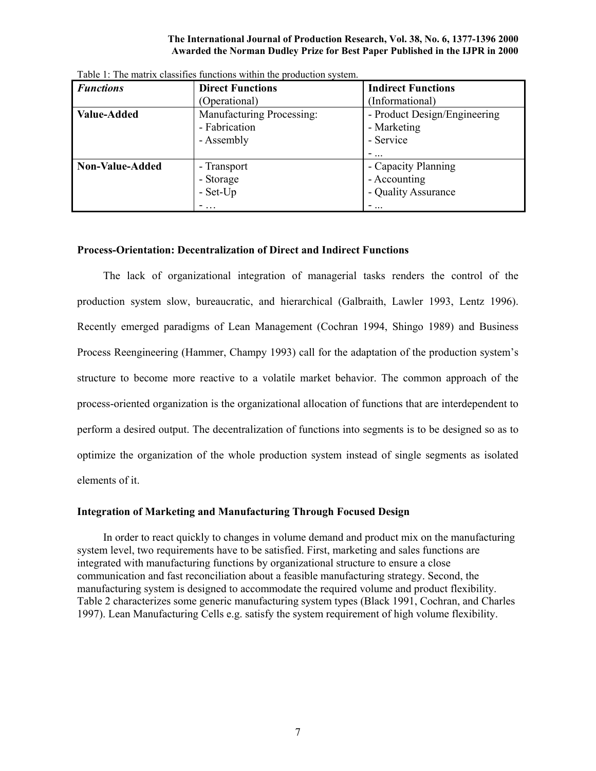| <b>Functions</b> | <b>Direct Functions</b>                                  | <b>Indirect Functions</b>                                |
|------------------|----------------------------------------------------------|----------------------------------------------------------|
|                  | (Operational)                                            | (Informational)                                          |
| Value-Added      | Manufacturing Processing:<br>- Fabrication<br>- Assembly | - Product Design/Engineering<br>- Marketing<br>- Service |
| Non-Value-Added  | - Transport                                              | -<br>- Capacity Planning                                 |
|                  | - Storage<br>$-$ Set-Up                                  | - Accounting<br>- Quality Assurance                      |
|                  |                                                          | -                                                        |

Table 1: The matrix classifies functions within the production system.

#### **Process-Orientation: Decentralization of Direct and Indirect Functions**

The lack of organizational integration of managerial tasks renders the control of the production system slow, bureaucratic, and hierarchical (Galbraith, Lawler 1993, Lentz 1996). Recently emerged paradigms of Lean Management (Cochran 1994, Shingo 1989) and Business Process Reengineering (Hammer, Champy 1993) call for the adaptation of the production system's structure to become more reactive to a volatile market behavior. The common approach of the process-oriented organization is the organizational allocation of functions that are interdependent to perform a desired output. The decentralization of functions into segments is to be designed so as to optimize the organization of the whole production system instead of single segments as isolated elements of it.

#### **Integration of Marketing and Manufacturing Through Focused Design**

 In order to react quickly to changes in volume demand and product mix on the manufacturing system level, two requirements have to be satisfied. First, marketing and sales functions are integrated with manufacturing functions by organizational structure to ensure a close communication and fast reconciliation about a feasible manufacturing strategy. Second, the manufacturing system is designed to accommodate the required volume and product flexibility. Table 2 characterizes some generic manufacturing system types (Black 1991, Cochran, and Charles 1997). Lean Manufacturing Cells e.g. satisfy the system requirement of high volume flexibility.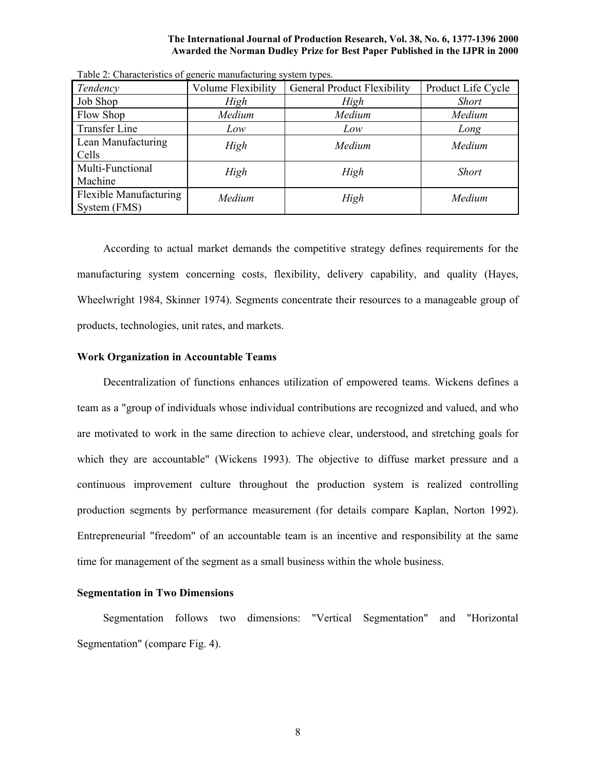|                                        |                    | -9 - 1 - - - - - - 1 - - -         |                    |
|----------------------------------------|--------------------|------------------------------------|--------------------|
| Tendency                               | Volume Flexibility | <b>General Product Flexibility</b> | Product Life Cycle |
| Job Shop                               | High               | High                               | <b>Short</b>       |
| Flow Shop                              | Medium             | Medium                             | Medium             |
| Transfer Line                          | Low                | Low                                | Long               |
| Lean Manufacturing<br>Cells            | High               | Medium                             | Medium             |
| Multi-Functional<br>Machine            | High               | High                               | <b>Short</b>       |
| Flexible Manufacturing<br>System (FMS) | Medium             | High                               | Medium             |

Table 2: Characteristics of generic manufacturing system types.

According to actual market demands the competitive strategy defines requirements for the manufacturing system concerning costs, flexibility, delivery capability, and quality (Hayes, Wheelwright 1984, Skinner 1974). Segments concentrate their resources to a manageable group of products, technologies, unit rates, and markets.

#### **Work Organization in Accountable Teams**

Decentralization of functions enhances utilization of empowered teams. Wickens defines a team as a "group of individuals whose individual contributions are recognized and valued, and who are motivated to work in the same direction to achieve clear, understood, and stretching goals for which they are accountable" (Wickens 1993). The objective to diffuse market pressure and a continuous improvement culture throughout the production system is realized controlling production segments by performance measurement (for details compare Kaplan, Norton 1992). Entrepreneurial "freedom" of an accountable team is an incentive and responsibility at the same time for management of the segment as a small business within the whole business.

#### **Segmentation in Two Dimensions**

Segmentation follows two dimensions: "Vertical Segmentation" and "Horizontal Segmentation" (compare Fig. 4).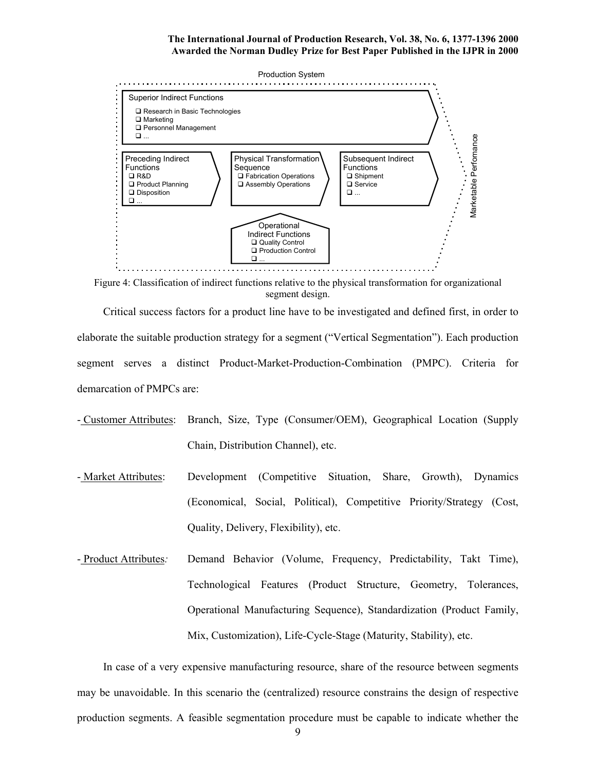

Figure 4: Classification of indirect functions relative to the physical transformation for organizational segment design.

Critical success factors for a product line have to be investigated and defined first, in order to elaborate the suitable production strategy for a segment ("Vertical Segmentation"). Each production segment serves a distinct Product-Market-Production-Combination (PMPC). Criteria for demarcation of PMPCs are:

- Customer Attributes: Branch, Size, Type (Consumer/OEM), Geographical Location (Supply Chain, Distribution Channel), etc.
- Market Attributes: Development (Competitive Situation, Share, Growth), Dynamics (Economical, Social, Political), Competitive Priority/Strategy (Cost, Quality, Delivery, Flexibility), etc.
- Product Attributes*:* Demand Behavior (Volume, Frequency, Predictability, Takt Time), Technological Features (Product Structure, Geometry, Tolerances, Operational Manufacturing Sequence), Standardization (Product Family, Mix, Customization), Life-Cycle-Stage (Maturity, Stability), etc.

In case of a very expensive manufacturing resource, share of the resource between segments may be unavoidable. In this scenario the (centralized) resource constrains the design of respective production segments. A feasible segmentation procedure must be capable to indicate whether the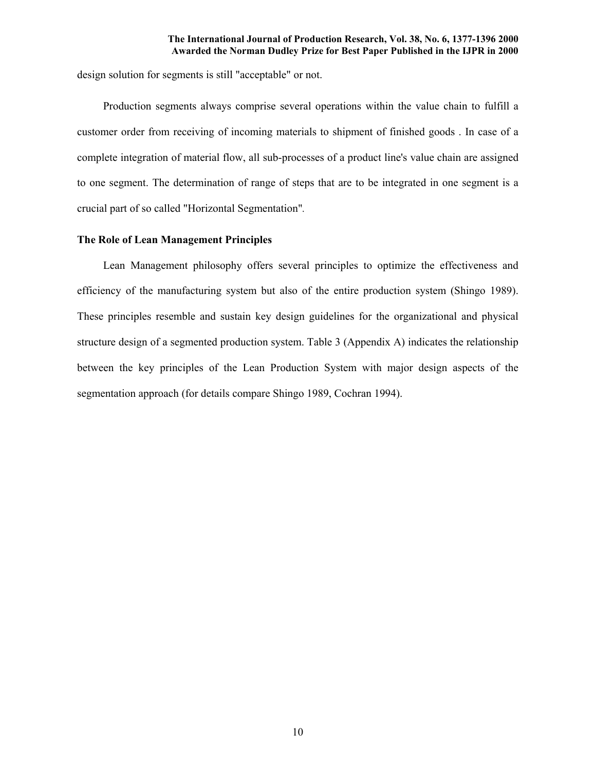design solution for segments is still "acceptable" or not.

Production segments always comprise several operations within the value chain to fulfill a customer order from receiving of incoming materials to shipment of finished goods . In case of a complete integration of material flow, all sub-processes of a product line's value chain are assigned to one segment. The determination of range of steps that are to be integrated in one segment is a crucial part of so called "Horizontal Segmentation"*.*

#### **The Role of Lean Management Principles**

Lean Management philosophy offers several principles to optimize the effectiveness and efficiency of the manufacturing system but also of the entire production system (Shingo 1989). These principles resemble and sustain key design guidelines for the organizational and physical structure design of a segmented production system. Table 3 (Appendix A) indicates the relationship between the key principles of the Lean Production System with major design aspects of the segmentation approach (for details compare Shingo 1989, Cochran 1994).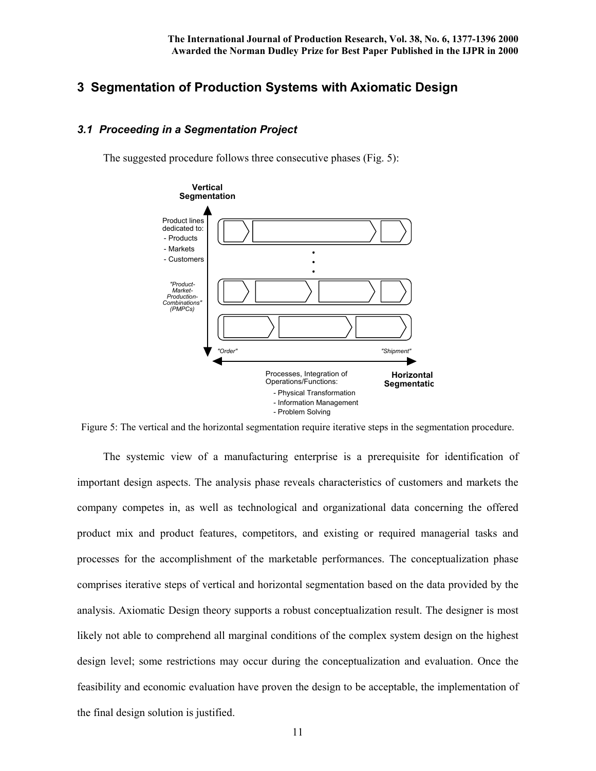## **3 Segmentation of Production Systems with Axiomatic Design**

### *3.1 Proceeding in a Segmentation Project*

The suggested procedure follows three consecutive phases (Fig. 5):



Figure 5: The vertical and the horizontal segmentation require iterative steps in the segmentation procedure.

 The systemic view of a manufacturing enterprise is a prerequisite for identification of important design aspects. The analysis phase reveals characteristics of customers and markets the company competes in, as well as technological and organizational data concerning the offered product mix and product features, competitors, and existing or required managerial tasks and processes for the accomplishment of the marketable performances. The conceptualization phase comprises iterative steps of vertical and horizontal segmentation based on the data provided by the analysis. Axiomatic Design theory supports a robust conceptualization result. The designer is most likely not able to comprehend all marginal conditions of the complex system design on the highest design level; some restrictions may occur during the conceptualization and evaluation. Once the feasibility and economic evaluation have proven the design to be acceptable, the implementation of the final design solution is justified.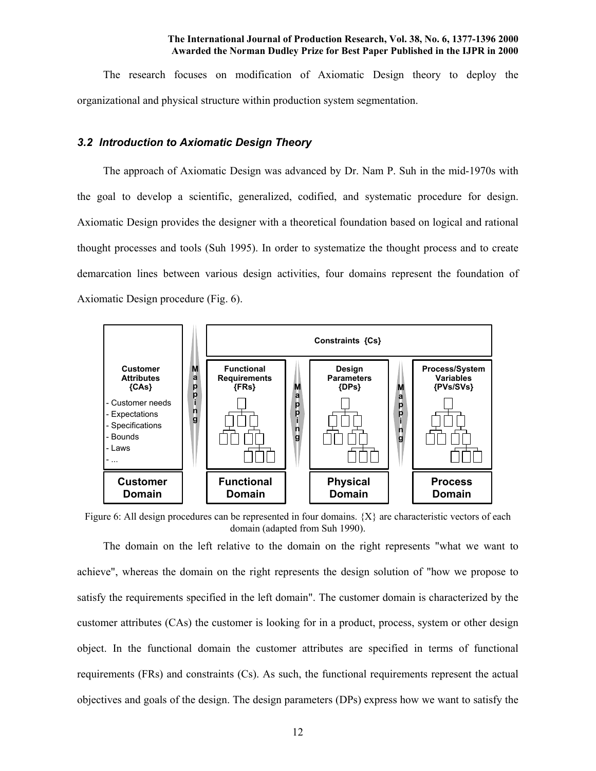The research focuses on modification of Axiomatic Design theory to deploy the organizational and physical structure within production system segmentation.

#### *3.2 Introduction to Axiomatic Design Theory*

The approach of Axiomatic Design was advanced by Dr. Nam P. Suh in the mid-1970s with the goal to develop a scientific, generalized, codified, and systematic procedure for design. Axiomatic Design provides the designer with a theoretical foundation based on logical and rational thought processes and tools (Suh 1995). In order to systematize the thought process and to create demarcation lines between various design activities, four domains represent the foundation of Axiomatic Design procedure (Fig. 6).



Figure 6: All design procedures can be represented in four domains.  $\{X\}$  are characteristic vectors of each domain (adapted from Suh 1990).

 The domain on the left relative to the domain on the right represents "what we want to achieve", whereas the domain on the right represents the design solution of "how we propose to satisfy the requirements specified in the left domain". The customer domain is characterized by the customer attributes (CAs) the customer is looking for in a product, process, system or other design object. In the functional domain the customer attributes are specified in terms of functional requirements (FRs) and constraints (Cs). As such, the functional requirements represent the actual objectives and goals of the design. The design parameters (DPs) express how we want to satisfy the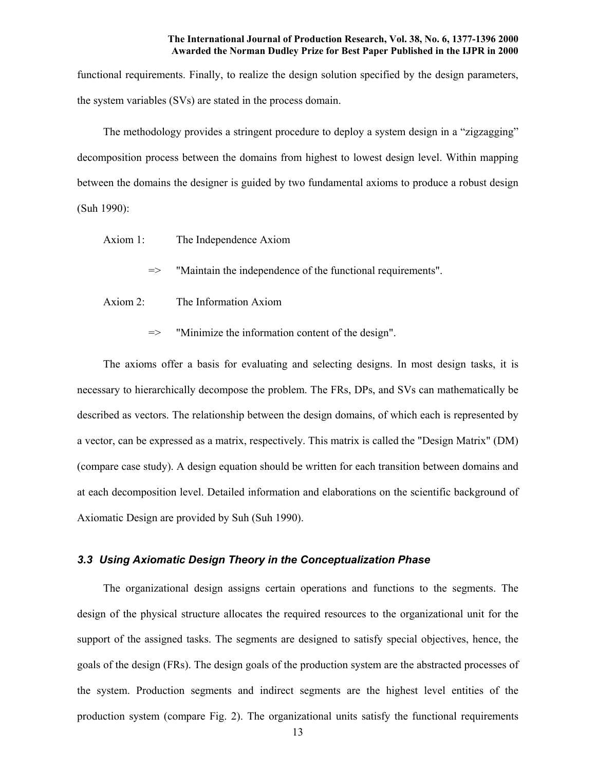functional requirements. Finally, to realize the design solution specified by the design parameters, the system variables (SVs) are stated in the process domain.

 The methodology provides a stringent procedure to deploy a system design in a "zigzagging" decomposition process between the domains from highest to lowest design level. Within mapping between the domains the designer is guided by two fundamental axioms to produce a robust design (Suh 1990):

- Axiom 1: The Independence Axiom
	- => "Maintain the independence of the functional requirements".
- Axiom 2: The Information Axiom
	- => "Minimize the information content of the design".

 The axioms offer a basis for evaluating and selecting designs. In most design tasks, it is necessary to hierarchically decompose the problem. The FRs, DPs, and SVs can mathematically be described as vectors. The relationship between the design domains, of which each is represented by a vector, can be expressed as a matrix, respectively. This matrix is called the "Design Matrix" (DM) (compare case study). A design equation should be written for each transition between domains and at each decomposition level. Detailed information and elaborations on the scientific background of Axiomatic Design are provided by Suh (Suh 1990).

#### *3.3 Using Axiomatic Design Theory in the Conceptualization Phase*

 The organizational design assigns certain operations and functions to the segments. The design of the physical structure allocates the required resources to the organizational unit for the support of the assigned tasks. The segments are designed to satisfy special objectives, hence, the goals of the design (FRs). The design goals of the production system are the abstracted processes of the system. Production segments and indirect segments are the highest level entities of the production system (compare Fig. 2). The organizational units satisfy the functional requirements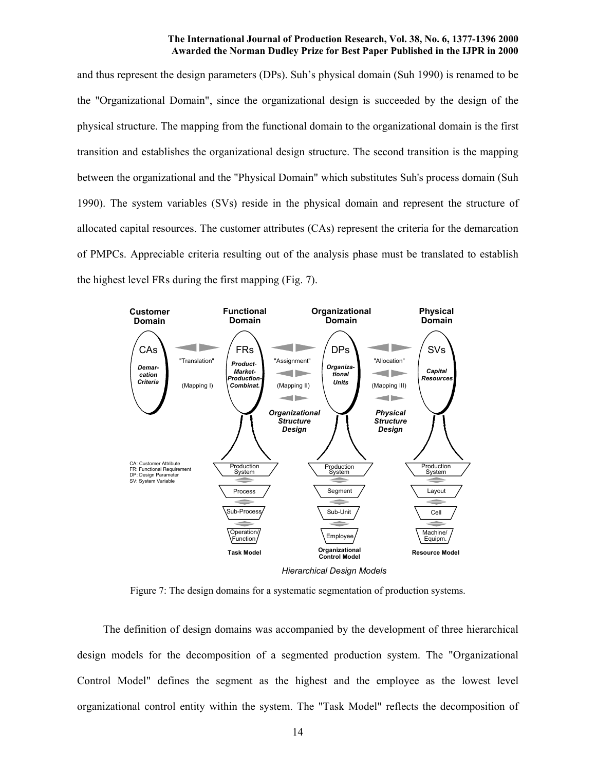and thus represent the design parameters (DPs). Suh's physical domain (Suh 1990) is renamed to be the "Organizational Domain", since the organizational design is succeeded by the design of the physical structure. The mapping from the functional domain to the organizational domain is the first transition and establishes the organizational design structure. The second transition is the mapping between the organizational and the "Physical Domain" which substitutes Suh's process domain (Suh 1990). The system variables (SVs) reside in the physical domain and represent the structure of allocated capital resources. The customer attributes (CAs) represent the criteria for the demarcation of PMPCs. Appreciable criteria resulting out of the analysis phase must be translated to establish the highest level FRs during the first mapping (Fig. 7).



Figure 7: The design domains for a systematic segmentation of production systems.

 The definition of design domains was accompanied by the development of three hierarchical design models for the decomposition of a segmented production system. The "Organizational Control Model" defines the segment as the highest and the employee as the lowest level organizational control entity within the system. The "Task Model" reflects the decomposition of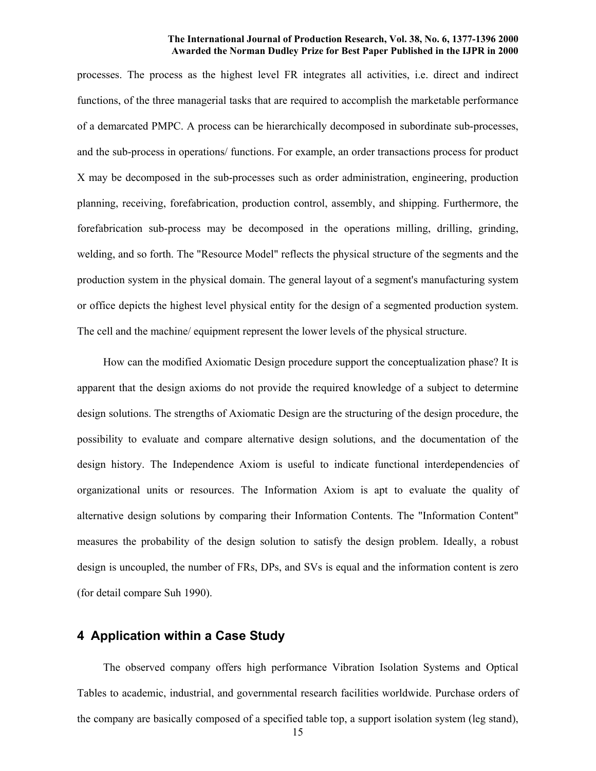processes. The process as the highest level FR integrates all activities, i.e. direct and indirect functions, of the three managerial tasks that are required to accomplish the marketable performance of a demarcated PMPC. A process can be hierarchically decomposed in subordinate sub-processes, and the sub-process in operations/ functions. For example, an order transactions process for product X may be decomposed in the sub-processes such as order administration, engineering, production planning, receiving, forefabrication, production control, assembly, and shipping. Furthermore, the forefabrication sub-process may be decomposed in the operations milling, drilling, grinding, welding, and so forth. The "Resource Model" reflects the physical structure of the segments and the production system in the physical domain. The general layout of a segment's manufacturing system or office depicts the highest level physical entity for the design of a segmented production system. The cell and the machine/ equipment represent the lower levels of the physical structure.

 How can the modified Axiomatic Design procedure support the conceptualization phase? It is apparent that the design axioms do not provide the required knowledge of a subject to determine design solutions. The strengths of Axiomatic Design are the structuring of the design procedure, the possibility to evaluate and compare alternative design solutions, and the documentation of the design history. The Independence Axiom is useful to indicate functional interdependencies of organizational units or resources. The Information Axiom is apt to evaluate the quality of alternative design solutions by comparing their Information Contents. The "Information Content" measures the probability of the design solution to satisfy the design problem. Ideally, a robust design is uncoupled, the number of FRs, DPs, and SVs is equal and the information content is zero (for detail compare Suh 1990).

### **4 Application within a Case Study**

 The observed company offers high performance Vibration Isolation Systems and Optical Tables to academic, industrial, and governmental research facilities worldwide. Purchase orders of the company are basically composed of a specified table top, a support isolation system (leg stand),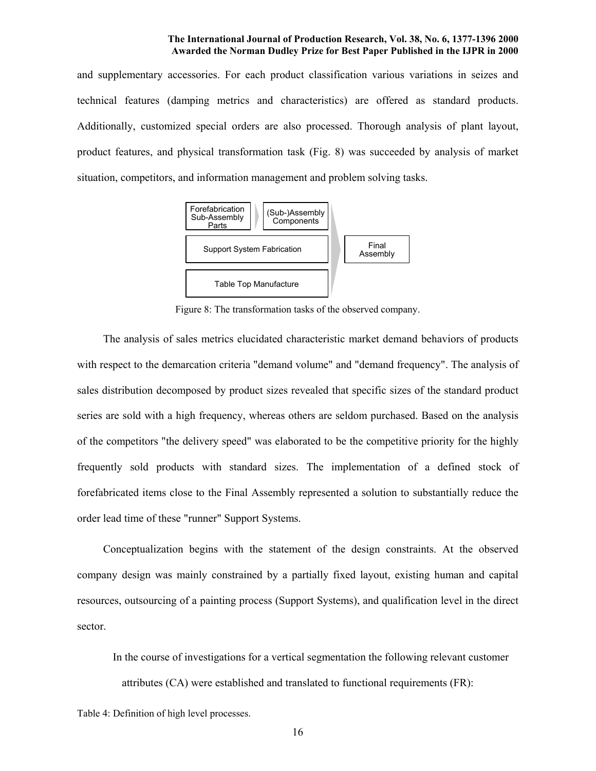and supplementary accessories. For each product classification various variations in seizes and technical features (damping metrics and characteristics) are offered as standard products. Additionally, customized special orders are also processed. Thorough analysis of plant layout, product features, and physical transformation task (Fig. 8) was succeeded by analysis of market situation, competitors, and information management and problem solving tasks.



Figure 8: The transformation tasks of the observed company.

 The analysis of sales metrics elucidated characteristic market demand behaviors of products with respect to the demarcation criteria "demand volume" and "demand frequency". The analysis of sales distribution decomposed by product sizes revealed that specific sizes of the standard product series are sold with a high frequency, whereas others are seldom purchased. Based on the analysis of the competitors "the delivery speed" was elaborated to be the competitive priority for the highly frequently sold products with standard sizes. The implementation of a defined stock of forefabricated items close to the Final Assembly represented a solution to substantially reduce the order lead time of these "runner" Support Systems.

 Conceptualization begins with the statement of the design constraints. At the observed company design was mainly constrained by a partially fixed layout, existing human and capital resources, outsourcing of a painting process (Support Systems), and qualification level in the direct sector.

 In the course of investigations for a vertical segmentation the following relevant customer attributes (CA) were established and translated to functional requirements (FR):

Table 4: Definition of high level processes.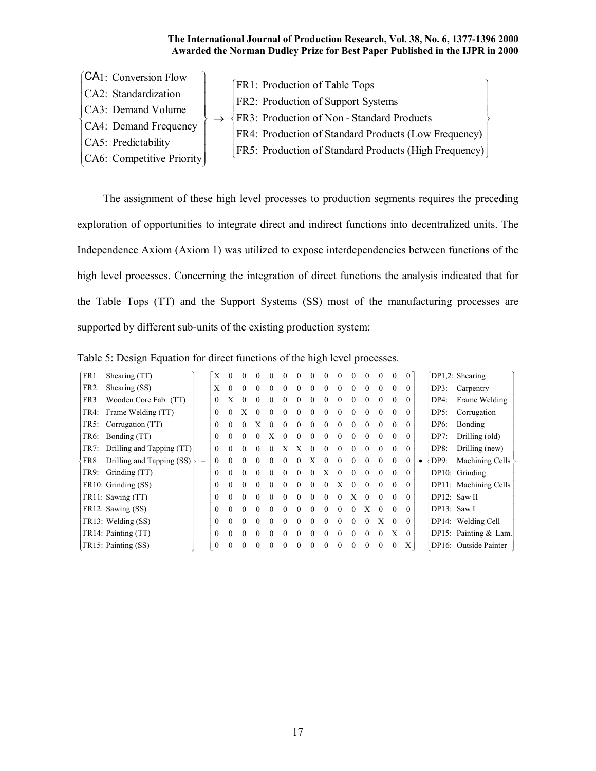| [CA1: Conversion Flow     | [FR1: Production of Table Tops]                             |
|---------------------------|-------------------------------------------------------------|
| CA2: Standardization      |                                                             |
| CA3: Demand Volume        | FR2: Production of Support Systems                          |
| CA4: Demand Frequency     | $\sqrt{\text{FR3}}$ : Production of Non - Standard Products |
| CA5: Predictability       | FR4: Production of Standard Products (Low Frequency)        |
|                           | FR5: Production of Standard Products (High Frequency)       |
| CA6: Competitive Priority |                                                             |

The assignment of these high level processes to production segments requires the preceding exploration of opportunities to integrate direct and indirect functions into decentralized units. The Independence Axiom (Axiom 1) was utilized to expose interdependencies between functions of the high level processes. Concerning the integration of direct functions the analysis indicated that for the Table Tops (TT) and the Support Systems (SS) most of the manufacturing processes are supported by different sub-units of the existing production system:

| Table 5: Design Equation for direct functions of the high level processes. |  |  |  |
|----------------------------------------------------------------------------|--|--|--|
|                                                                            |  |  |  |

| FR1: | Shearing (TT)             |     | X            |          |          | $\theta$ |   |            |   |          |            |   |   |          |          | $_{0}$   | $\theta$ |               | DP1,2: Shearing         |
|------|---------------------------|-----|--------------|----------|----------|----------|---|------------|---|----------|------------|---|---|----------|----------|----------|----------|---------------|-------------------------|
| FR2: | Shearing (SS)             |     | X            |          |          | $\Omega$ | 0 |            |   |          |            |   |   |          |          | 0        | $\Omega$ | DP3:          | Carpentry               |
| FR3: | Wooden Core Fab. (TT)     |     | $\Omega$     | X        | $\Omega$ | 0        |   |            |   |          |            |   |   |          | 0        | 0        | $\theta$ | DP4:          | Frame Welding           |
|      | FR4: Frame Welding (TT)   |     | $\Omega$     |          |          |          |   |            |   |          |            |   |   |          |          | 0        | $\theta$ | DP5:          | Corrugation             |
| FR5: | Corrugation (TT)          |     | $\Omega$     | 0        | $\Omega$ | X        | 0 |            | 0 | 0        |            |   | 0 |          | 0        | $\theta$ | $\theta$ | DP6:          | Bonding                 |
| FR6: | Bonding (TT)              |     | $\Omega$     |          |          |          |   |            |   |          |            |   |   |          |          | 0        | $\theta$ | $DP7$ :       | Drilling (old)          |
| FR7: | Drilling and Tapping (TT) |     | $\Omega$     | $\Omega$ | $\Omega$ | $\Omega$ | 0 |            |   | $\theta$ | $^{\circ}$ | 0 | 0 |          | 0        | 0        | $\theta$ | DP8:          | Drilling (new)          |
| FR8: | Drilling and Tapping (SS) | $=$ |              |          |          |          |   |            |   |          |            |   |   |          |          | 0        | $\theta$ | DP9:          | Machining Cells         |
| FR9: | Grinding (TT)             |     | $\Omega$     | $\Omega$ | $\Omega$ | 0        |   | $^{\circ}$ | 0 | 0        |            | 0 | 0 |          | 0        | $\Omega$ | $\theta$ |               | DP10: Grinding          |
|      | FR10: Grinding (SS)       |     | 0            |          |          |          |   |            |   |          |            | X |   |          |          | 0        | $\Omega$ |               | DP11: Machining Cells   |
|      | FR11: Sawing (TT)         |     | $\Omega$     | $\Omega$ | $\Omega$ | $\Omega$ | 0 | 0          | 0 | 0        |            |   |   | $\Omega$ | 0        | $\Omega$ | $\Omega$ |               | $DP12:$ Saw II          |
|      | FR12: Sawing (SS)         |     | $\Omega$     |          |          |          |   |            |   |          |            |   |   | Х        | $\theta$ | 0        | $\theta$ | $DP13:$ Saw I |                         |
|      | FR13: Welding (SS)        |     | $\Omega$     |          |          | 0        |   |            | 0 |          |            |   |   |          | X        | 0        | $\Omega$ |               | DP14: Welding Cell      |
|      | FR14: Painting (TT)       |     | 0            |          |          |          |   |            |   |          |            |   |   |          |          | X        | $\theta$ |               | DP15: Painting $& Lam.$ |
|      | FR15: Painting (SS)       |     | $\mathbf{0}$ |          |          |          |   |            |   |          |            |   |   |          |          | 0        | Χ        |               | DP16: Outside Painter   |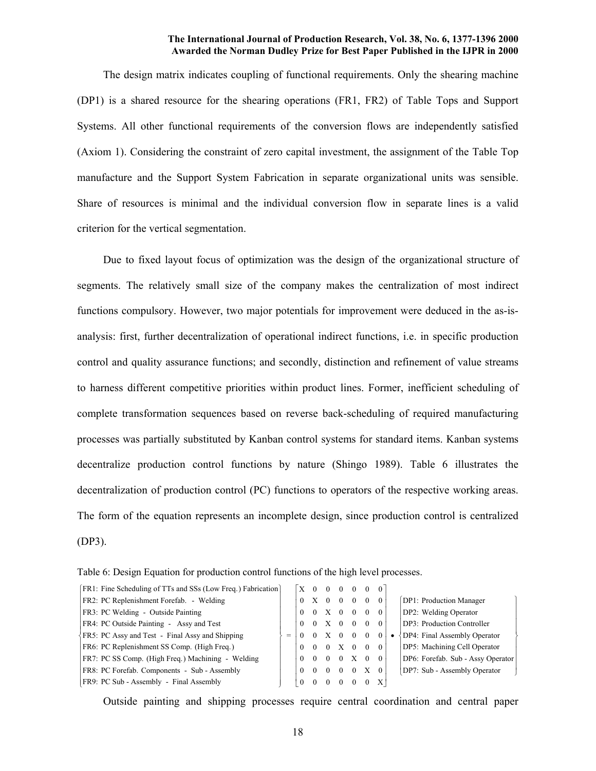The design matrix indicates coupling of functional requirements. Only the shearing machine (DP1) is a shared resource for the shearing operations (FR1, FR2) of Table Tops and Support Systems. All other functional requirements of the conversion flows are independently satisfied (Axiom 1). Considering the constraint of zero capital investment, the assignment of the Table Top manufacture and the Support System Fabrication in separate organizational units was sensible. Share of resources is minimal and the individual conversion flow in separate lines is a valid criterion for the vertical segmentation.

Due to fixed layout focus of optimization was the design of the organizational structure of segments. The relatively small size of the company makes the centralization of most indirect functions compulsory. However, two major potentials for improvement were deduced in the as-isanalysis: first, further decentralization of operational indirect functions, i.e. in specific production control and quality assurance functions; and secondly, distinction and refinement of value streams to harness different competitive priorities within product lines. Former, inefficient scheduling of complete transformation sequences based on reverse back-scheduling of required manufacturing processes was partially substituted by Kanban control systems for standard items. Kanban systems decentralize production control functions by nature (Shingo 1989). Table 6 illustrates the decentralization of production control (PC) functions to operators of the respective working areas. The form of the equation represents an incomplete design, since production control is centralized (DP3).

|   | X        |          |          | $\Omega$ |                                  |          |          |                                   |
|---|----------|----------|----------|----------|----------------------------------|----------|----------|-----------------------------------|
|   | $\theta$ | X        | $\theta$ | $\Omega$ | $\theta$                         | $\theta$ |          | DP1: Production Manager           |
|   | $\theta$ | $\theta$ |          |          | $\Omega$                         | $\left($ |          | DP2: Welding Operator             |
|   | $\theta$ | $\Omega$ |          | $\Omega$ | $\Omega$                         | $\theta$ |          | DP3: Production Controller        |
| = |          |          | X        | $\Omega$ | $\Omega$                         | $\left($ |          | DP4: Final Assembly Operator      |
|   | $\theta$ | $\Omega$ | $\Omega$ | X        | $\Omega$                         | $\Omega$ | $\Omega$ | DP5: Machining Cell Operator      |
|   |          | $\Omega$ | $\Omega$ | $\Omega$ | X                                | $\Omega$ | $\theta$ | DP6: Forefab. Sub - Assy Operator |
|   | $\Omega$ |          | $\Omega$ | 0        | $^{\circ}$                       |          |          | DP7: Sub - Assembly Operator      |
|   | $\Omega$ |          |          |          |                                  | $\theta$ | Χ        |                                   |
|   |          |          |          |          | $X \quad 0$<br>$\cdot$ X $\cdot$ |          |          |                                   |

Table 6: Design Equation for production control functions of the high level processes.

Outside painting and shipping processes require central coordination and central paper

 $\begin{matrix} \end{matrix}$ 

 $\overline{\phantom{a}}$  $\overline{\phantom{a}}$  $\overline{ }$  $\overline{ }$ 

ł

 $\overline{\phantom{a}}$  $\overline{ }$  $\overline{\phantom{a}}$  $\overline{\phantom{a}}$ 

J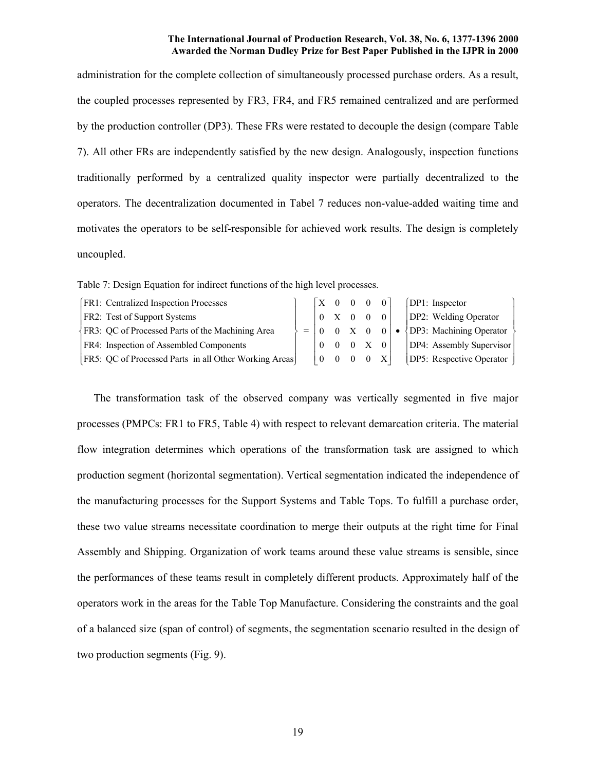administration for the complete collection of simultaneously processed purchase orders. As a result, the coupled processes represented by FR3, FR4, and FR5 remained centralized and are performed by the production controller (DP3). These FRs were restated to decouple the design (compare Table 7). All other FRs are independently satisfied by the new design. Analogously, inspection functions traditionally performed by a centralized quality inspector were partially decentralized to the operators. The decentralization documented in Tabel 7 reduces non-value-added waiting time and motivates the operators to be self-responsible for achieved work results. The design is completely uncoupled.

Table 7: Design Equation for indirect functions of the high level processes.

| <b>FR1:</b> Centralized Inspection Processes               |             |              | $\begin{array}{cccccc}\n  \text{X} & 0 & 0 & 0 & 0\n\end{array}$ |                                                     | [DP1: Inspector]         |
|------------------------------------------------------------|-------------|--------------|------------------------------------------------------------------|-----------------------------------------------------|--------------------------|
| <b>FR2:</b> Test of Support Systems                        |             | 0 X          | $\overline{0}$                                                   | $\overline{0}$                                      | DP2: Welding Operator    |
| $\langle$ FR3: QC of Processed Parts of the Machining Area | $=$ 10      | $0 \times 0$ |                                                                  | $\begin{array}{c} \hline \hline \hline \end{array}$ | DP3: Machining Operator  |
| FR4: Inspection of Assembled Components                    | $\Omega$    |              |                                                                  |                                                     | DP4: Assembly Supervisor |
| FR5: QC of Processed Parts in all Other Working Areas      | $0 \quad 0$ |              |                                                                  | $0 \times 1$                                        | DP5: Respective Operator |

 The transformation task of the observed company was vertically segmented in five major processes (PMPCs: FR1 to FR5, Table 4) with respect to relevant demarcation criteria. The material flow integration determines which operations of the transformation task are assigned to which production segment (horizontal segmentation). Vertical segmentation indicated the independence of the manufacturing processes for the Support Systems and Table Tops. To fulfill a purchase order, these two value streams necessitate coordination to merge their outputs at the right time for Final Assembly and Shipping. Organization of work teams around these value streams is sensible, since the performances of these teams result in completely different products. Approximately half of the operators work in the areas for the Table Top Manufacture. Considering the constraints and the goal of a balanced size (span of control) of segments, the segmentation scenario resulted in the design of two production segments (Fig. 9).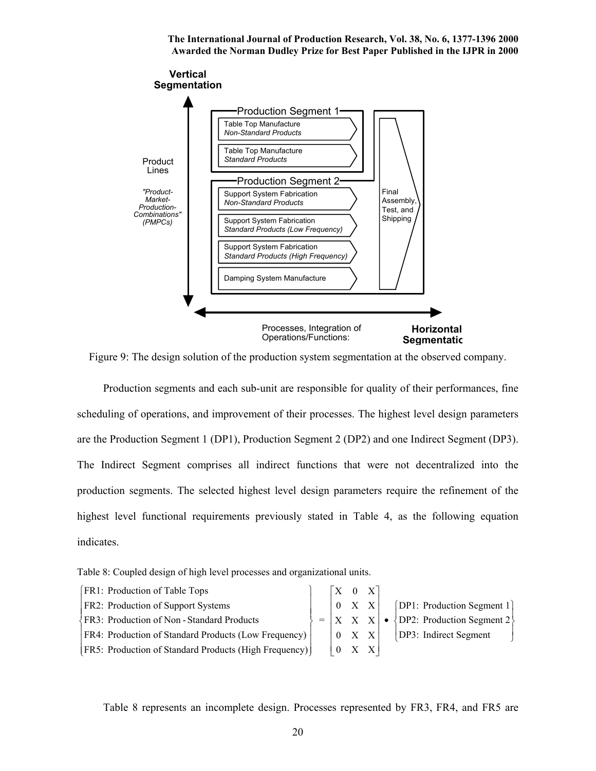

Figure 9: The design solution of the production system segmentation at the observed company.

 Production segments and each sub-unit are responsible for quality of their performances, fine scheduling of operations, and improvement of their processes. The highest level design parameters are the Production Segment 1 (DP1), Production Segment 2 (DP2) and one Indirect Segment (DP3). The Indirect Segment comprises all indirect functions that were not decentralized into the production segments. The selected highest level design parameters require the refinement of the highest level functional requirements previously stated in Table 4, as the following equation indicates.

Table 8: Coupled design of high level processes and organizational units.

| <b>FR1: Production of Table Tops</b>                         |  | $\begin{bmatrix} X & 0 & X \end{bmatrix}$ |  |                                                                                                     |
|--------------------------------------------------------------|--|-------------------------------------------|--|-----------------------------------------------------------------------------------------------------|
| <b>FR2: Production of Support Systems</b>                    |  |                                           |  | $\begin{bmatrix} 0 & X & X \end{bmatrix}$ [DP1: Production Segment 1]                               |
| FR3: Production of Non - Standard Products                   |  |                                           |  | $=  X \ X \ X  \bullet \{DP2$ : Production Segment 2                                                |
| <b>FR4: Production of Standard Products (Low Frequency)</b>  |  |                                           |  | $\begin{array}{ c c c c c c } \hline 0 & X & X & \text{DP3: Indirect Segment} \ \hline \end{array}$ |
| <b>FR5: Production of Standard Products (High Frequency)</b> |  | $\begin{vmatrix} 0 & X & X \end{vmatrix}$ |  |                                                                                                     |

Table 8 represents an incomplete design. Processes represented by FR3, FR4, and FR5 are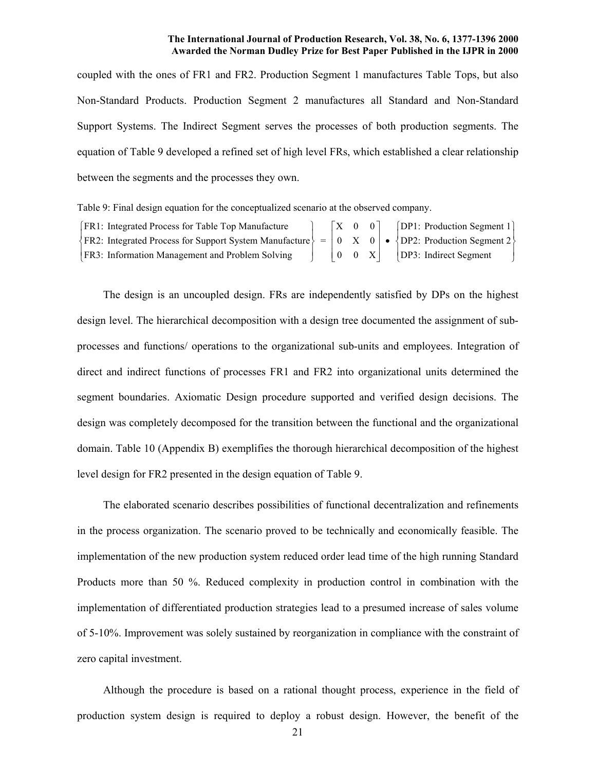coupled with the ones of FR1 and FR2. Production Segment 1 manufactures Table Tops, but also Non-Standard Products. Production Segment 2 manufactures all Standard and Non-Standard Support Systems. The Indirect Segment serves the processes of both production segments. The equation of Table 9 developed a refined set of high level FRs, which established a clear relationship between the segments and the processes they own.

Table 9: Final design equation for the conceptualized scenario at the observed company.

| <b>FR1:</b> Integrated Process for Table Top Manufacture                                                                                                     |  | $ X \t0 \t0 $ |  | [DP1: Production Segment 1]                                       |
|--------------------------------------------------------------------------------------------------------------------------------------------------------------|--|---------------|--|-------------------------------------------------------------------|
| $\{FR2: \text{ Integrated Process for Support System Mannfacture}\} = \begin{bmatrix} 0 & X & 0 \end{bmatrix} \bullet \{DP2: \text{ Production Segment 2}\}$ |  |               |  |                                                                   |
| FR3: Information Management and Problem Solving                                                                                                              |  |               |  | $\begin{vmatrix} 0 & 0 & X \end{vmatrix}$ [DP3: Indirect Segment] |

The design is an uncoupled design. FRs are independently satisfied by DPs on the highest design level. The hierarchical decomposition with a design tree documented the assignment of subprocesses and functions/ operations to the organizational sub-units and employees. Integration of direct and indirect functions of processes FR1 and FR2 into organizational units determined the segment boundaries. Axiomatic Design procedure supported and verified design decisions. The design was completely decomposed for the transition between the functional and the organizational domain. Table 10 (Appendix B) exemplifies the thorough hierarchical decomposition of the highest level design for FR2 presented in the design equation of Table 9.

The elaborated scenario describes possibilities of functional decentralization and refinements in the process organization. The scenario proved to be technically and economically feasible. The implementation of the new production system reduced order lead time of the high running Standard Products more than 50 %. Reduced complexity in production control in combination with the implementation of differentiated production strategies lead to a presumed increase of sales volume of 5-10%. Improvement was solely sustained by reorganization in compliance with the constraint of zero capital investment.

Although the procedure is based on a rational thought process, experience in the field of production system design is required to deploy a robust design. However, the benefit of the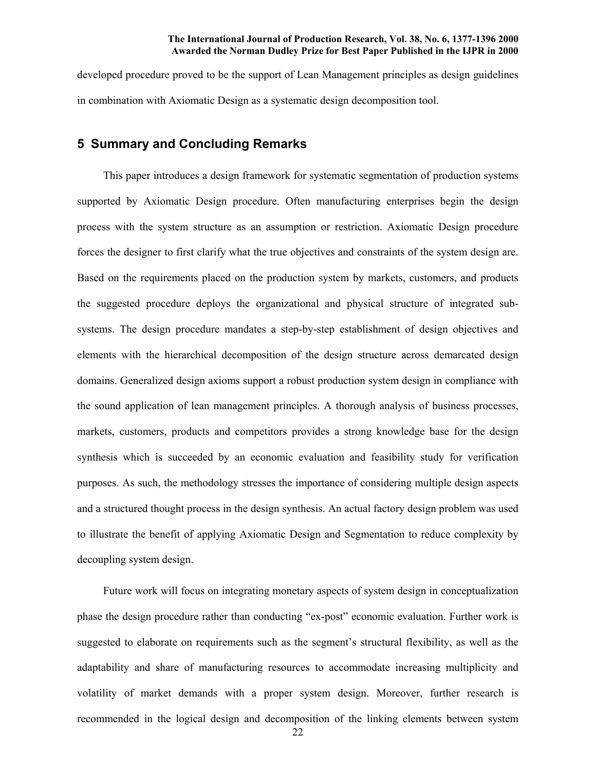developed procedure proved to be the support of Lean Management principles as design guidelines in combination with Axiomatic Design as a systematic design decomposition tool.

### **5 Summary and Concluding Remarks**

 This paper introduces a design framework for systematic segmentation of production systems supported by Axiomatic Design procedure. Often manufacturing enterprises begin the design process with the system structure as an assumption or restriction. Axiomatic Design procedure forces the designer to first clarify what the true objectives and constraints of the system design are. Based on the requirements placed on the production system by markets, customers, and products the suggested procedure deploys the organizational and physical structure of integrated subsystems. The design procedure mandates a step-by-step establishment of design objectives and elements with the hierarchical decomposition of the design structure across demarcated design domains. Generalized design axioms support a robust production system design in compliance with the sound application of lean management principles. A thorough analysis of business processes, markets, customers, products and competitors provides a strong knowledge base for the design synthesis which is succeeded by an economic evaluation and feasibility study for verification purposes. As such, the methodology stresses the importance of considering multiple design aspects and a structured thought process in the design synthesis. An actual factory design problem was used to illustrate the benefit of applying Axiomatic Design and Segmentation to reduce complexity by decoupling system design.

 Future work will focus on integrating monetary aspects of system design in conceptualization phase the design procedure rather than conducting "ex-post" economic evaluation. Further work is suggested to elaborate on requirements such as the segment's structural flexibility, as well as the adaptability and share of manufacturing resources to accommodate increasing multiplicity and volatility of market demands with a proper system design. Moreover, further research is recommended in the logical design and decomposition of the linking elements between system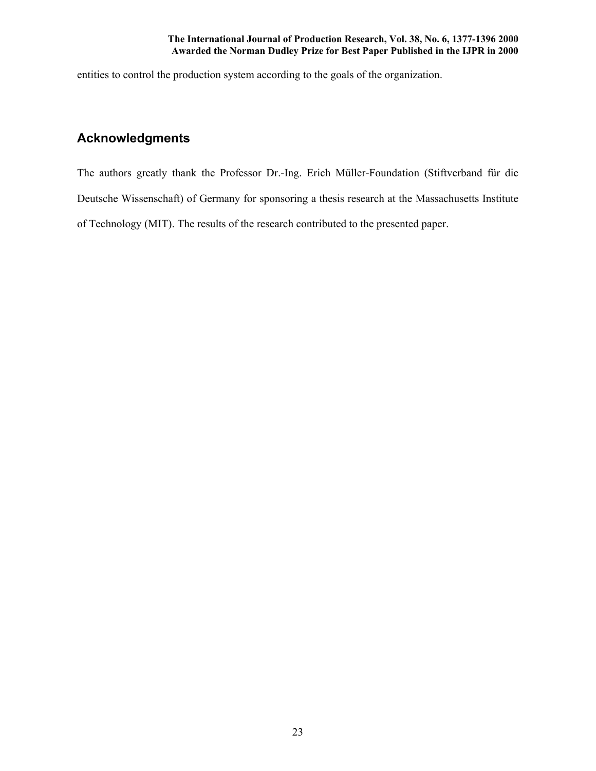entities to control the production system according to the goals of the organization.

# **Acknowledgments**

The authors greatly thank the Professor Dr.-Ing. Erich Müller-Foundation (Stiftverband für die Deutsche Wissenschaft) of Germany for sponsoring a thesis research at the Massachusetts Institute of Technology (MIT). The results of the research contributed to the presented paper.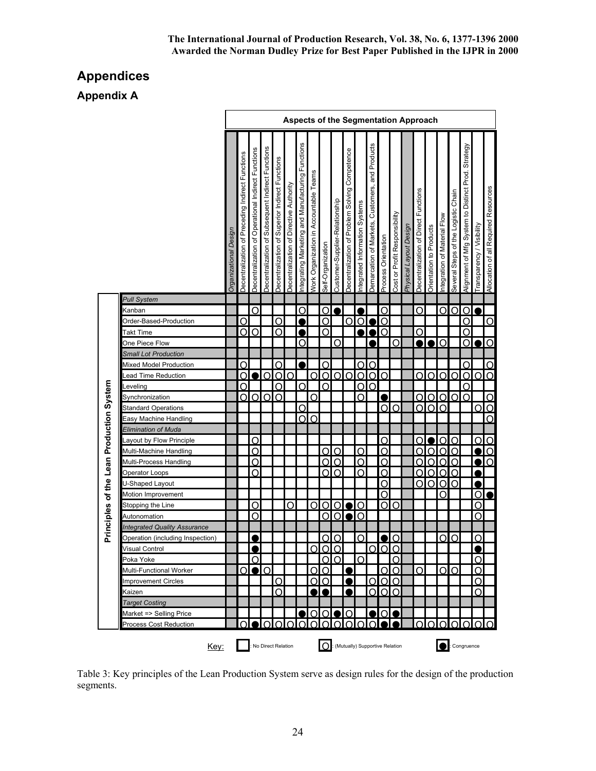# **Appendices**

**Appendix A**

|                                          |                                     |                       |                                                          |                                                    |                                                   |                                                 |                                         |                                                  |                                               |                   |                                |                                                         |                               | <b>Aspects of the Segmentation Approach</b>        |                     |                               |                        |                                      |                         |                             |                                     |                                                       |                          |                                      |
|------------------------------------------|-------------------------------------|-----------------------|----------------------------------------------------------|----------------------------------------------------|---------------------------------------------------|-------------------------------------------------|-----------------------------------------|--------------------------------------------------|-----------------------------------------------|-------------------|--------------------------------|---------------------------------------------------------|-------------------------------|----------------------------------------------------|---------------------|-------------------------------|------------------------|--------------------------------------|-------------------------|-----------------------------|-------------------------------------|-------------------------------------------------------|--------------------------|--------------------------------------|
|                                          |                                     | Organizational Design | Functions<br>Preceding Indirect<br>৳<br>Decentralization | Decentralization of Operational Indirect Functions | Decentralization of Subsequent Indirect Functions | Decentralization of Superior Indirect Functions | Decentralization of Directive Authority | ntegrating Marketing and Manufacturing Functions | <b>Nork Organization in Accountable Teams</b> | Self-Organization | Customer-Supplier-Relationship | Competence<br>Solving<br>Problem<br>Decentralization of | ntegrated Information Systems | and Products<br>Demarcation of Markets, Customers, | Process Orientation | Cost or Profit Responsibility | Physical Layout Design | Decentralization of Direct Functions | Orientation to Products | ntegration of Material Flow | Several Steps of the Logistic Chain | Strategy<br>Alignment of Mfg System to Distinct Prod. | ransparency / Visibility | Allocation of all Required Resources |
|                                          | <b>Pull System</b>                  |                       |                                                          |                                                    |                                                   |                                                 |                                         |                                                  |                                               |                   |                                |                                                         |                               |                                                    |                     |                               |                        |                                      |                         |                             |                                     |                                                       |                          |                                      |
|                                          | Kanban                              |                       |                                                          | Ω                                                  |                                                   |                                                 |                                         | <u>ဝ</u>                                         |                                               | O                 |                                |                                                         |                               |                                                    | O                   |                               |                        | O                                    |                         | O                           | O                                   | O                                                     |                          |                                      |
|                                          | Order-Based-Production              |                       | ∩                                                        |                                                    |                                                   | Ω                                               |                                         | 2                                                |                                               | Ω                 |                                | വ                                                       | $\Omega$                      | D                                                  | $\overline{O}$      |                               |                        |                                      |                         |                             |                                     | റ                                                     |                          | O                                    |
|                                          | Takt Time                           |                       | Ωl                                                       | $\Omega$                                           |                                                   | O                                               |                                         |                                                  |                                               | $\Omega$          |                                |                                                         |                               | И                                                  | $\overline{O}$      |                               |                        | O                                    |                         |                             |                                     | Ω                                                     |                          |                                      |
|                                          | One Piece Flow                      |                       |                                                          |                                                    |                                                   |                                                 |                                         | O                                                |                                               |                   | O                              |                                                         |                               |                                                    |                     | O                             |                        | ж                                    | 2                       | O                           |                                     | Ō                                                     |                          | JО                                   |
|                                          | <b>Small Lot Production</b>         |                       |                                                          |                                                    |                                                   |                                                 |                                         |                                                  |                                               |                   |                                |                                                         |                               |                                                    |                     |                               |                        |                                      |                         |                             |                                     |                                                       |                          |                                      |
|                                          | Mixed Model Production              |                       | ∩                                                        |                                                    |                                                   | $\Omega$                                        |                                         |                                                  |                                               | O                 |                                |                                                         | $\Omega$                      | $\overline{O}$                                     |                     |                               |                        |                                      |                         |                             |                                     | റ                                                     |                          | $\overline{O}$                       |
|                                          | Lead Time Reduction                 |                       | ∩                                                        |                                                    | O                                                 | O                                               | IO                                      |                                                  | O                                             | O                 | O                              | Ω                                                       | O                             | 0 <sup>o</sup>                                     |                     |                               |                        | Ω                                    | റ                       | Ω                           | ∩                                   | O                                                     | O                        | Ō                                    |
|                                          | Leveling                            |                       | ∩                                                        |                                                    |                                                   | Ō                                               |                                         | Ω                                                |                                               | O                 |                                |                                                         | O                             | O                                                  |                     |                               |                        |                                      |                         |                             |                                     | Ō                                                     |                          |                                      |
|                                          | Synchronization                     |                       | ∩                                                        |                                                    | $0$ $0$ $0$                                       |                                                 |                                         |                                                  | O                                             |                   |                                |                                                         | Ω                             |                                                    |                     |                               |                        | O                                    | $\overline{O}$          | $\overline{O}$              | IO.                                 | Ω                                                     |                          | $\Omega$                             |
|                                          | <b>Standard Operations</b>          |                       |                                                          |                                                    |                                                   |                                                 |                                         | O                                                |                                               |                   |                                |                                                         |                               |                                                    |                     | OIO                           |                        |                                      | $\overline{O}$          | $\overline{O}$              |                                     |                                                       | $\overline{O}$           |                                      |
|                                          | Easy Machine Handling               |                       |                                                          |                                                    |                                                   |                                                 |                                         | O                                                | $\circ$                                       |                   |                                |                                                         |                               |                                                    |                     |                               |                        |                                      |                         |                             |                                     |                                                       |                          | $\overline{O}$                       |
|                                          | <b>Elimination of Muda</b>          |                       |                                                          |                                                    |                                                   |                                                 |                                         |                                                  |                                               |                   |                                |                                                         |                               |                                                    |                     |                               |                        |                                      |                         |                             |                                     |                                                       |                          |                                      |
|                                          | Layout by Flow Principle            |                       |                                                          | O                                                  |                                                   |                                                 |                                         |                                                  |                                               |                   |                                |                                                         |                               |                                                    | O                   |                               |                        | Ω                                    |                         | Ω                           | Ω                                   |                                                       | O                        | Ιo                                   |
| Principles of the Lean Production System | Multi-Machine Handling              |                       |                                                          | ∩                                                  |                                                   |                                                 |                                         |                                                  |                                               | Ω                 | O                              |                                                         | Ω                             |                                                    | O                   |                               |                        |                                      |                         | Ω                           | Ω                                   |                                                       | $\bullet$                | $\overline{Q}$                       |
|                                          | Multi-Process Handling              |                       |                                                          | O                                                  |                                                   |                                                 |                                         |                                                  |                                               | O                 | O                              |                                                         | $\circ$                       |                                                    | O                   |                               |                        | O                                    | O                       | $\circ$                     | $\overline{O}$                      |                                                       | $\overline{\bullet}$     |                                      |
|                                          | Operator Loops                      |                       |                                                          | ∩                                                  |                                                   |                                                 |                                         |                                                  |                                               | O                 | റ                              |                                                         | $\Omega$                      |                                                    | $\overline{O}$      |                               |                        | Ω                                    | $\overline{O}$          | $\Omega$                    | $\Omega$                            |                                                       |                          |                                      |
|                                          | U-Shaped Layout                     |                       |                                                          |                                                    |                                                   |                                                 |                                         |                                                  |                                               |                   |                                |                                                         |                               |                                                    | O                   |                               |                        | Ω                                    | $\Omega$                | Ω                           | O                                   |                                                       |                          |                                      |
|                                          | Motion Improvement                  |                       |                                                          |                                                    |                                                   |                                                 |                                         |                                                  |                                               |                   |                                |                                                         |                               |                                                    | $\overline{O}$      |                               |                        |                                      |                         | ∩                           |                                     |                                                       | <u>olo</u>               |                                      |
|                                          | Stopping the Line                   |                       |                                                          | O                                                  |                                                   |                                                 | Ω                                       |                                                  | Ω                                             | $\Omega$          | Ω                              |                                                         | $\Omega$                      |                                                    |                     | olo                           |                        |                                      |                         |                             |                                     |                                                       | $\Omega$                 |                                      |
|                                          | Autonomation                        |                       |                                                          | റ                                                  |                                                   |                                                 |                                         |                                                  |                                               | $\Omega$          | $\Omega$                       |                                                         | $\Omega$                      |                                                    |                     |                               |                        |                                      |                         |                             |                                     |                                                       | $\Omega$                 |                                      |
|                                          | <b>Integrated Quality Assurance</b> |                       |                                                          |                                                    |                                                   |                                                 |                                         |                                                  |                                               |                   |                                |                                                         |                               |                                                    |                     |                               |                        |                                      |                         |                             |                                     |                                                       |                          |                                      |
|                                          | Operation (including Inspection)    |                       |                                                          |                                                    |                                                   |                                                 |                                         |                                                  |                                               | റ                 | ∩                              |                                                         | ∩                             |                                                    |                     | ∩                             |                        |                                      |                         | ∩                           | ∩                                   |                                                       | Ω                        |                                      |
|                                          | <b>Visual Control</b>               |                       |                                                          |                                                    |                                                   |                                                 |                                         |                                                  |                                               | 100               |                                |                                                         |                               |                                                    |                     |                               |                        |                                      |                         |                             |                                     |                                                       | ,                        |                                      |
|                                          | Poka Yoke                           |                       |                                                          | O                                                  |                                                   |                                                 |                                         |                                                  |                                               |                   | O <sub>10</sub>                |                                                         | O                             |                                                    |                     | O                             |                        |                                      |                         |                             |                                     |                                                       | O                        |                                      |
|                                          | Multi-Functional Worker             |                       | Ol                                                       |                                                    | $\bullet$ IO                                      |                                                 |                                         |                                                  | O                                             | O                 |                                | $\bullet$                                               |                               |                                                    |                     | <u>OIO</u>                    |                        | O                                    |                         | O                           | IO                                  |                                                       | Ω                        |                                      |
|                                          | <b>Improvement Circles</b>          |                       |                                                          |                                                    |                                                   | O                                               |                                         |                                                  | O                                             | lO                |                                | $\bullet$                                               |                               | ΩI                                                 | Olo                 |                               |                        |                                      |                         |                             |                                     |                                                       | $\Omega$                 |                                      |
|                                          | Kaizen                              |                       |                                                          |                                                    |                                                   | $\overline{O}$                                  |                                         |                                                  |                                               | ЛО                |                                |                                                         |                               |                                                    | 0 <sub>0</sub>      |                               |                        |                                      |                         |                             |                                     |                                                       | O                        |                                      |
|                                          | <b>Target Costing</b>               |                       |                                                          |                                                    |                                                   |                                                 |                                         |                                                  |                                               |                   |                                |                                                         |                               |                                                    |                     |                               |                        |                                      |                         |                             |                                     |                                                       |                          |                                      |
|                                          | Market => Selling Price             |                       |                                                          |                                                    |                                                   |                                                 |                                         |                                                  | Ω                                             | ΩI                |                                | Ω                                                       |                               | $\bullet$                                          |                     | <b>OLO</b>                    |                        |                                      |                         |                             |                                     |                                                       |                          |                                      |
|                                          | <b>Process Cost Reduction</b>       |                       |                                                          |                                                    |                                                   |                                                 |                                         |                                                  |                                               |                   |                                |                                                         |                               |                                                    |                     |                               |                        | O                                    |                         |                             |                                     |                                                       | OIO                      |                                      |

Table 3: Key principles of the Lean Production System serve as design rules for the design of the production segments.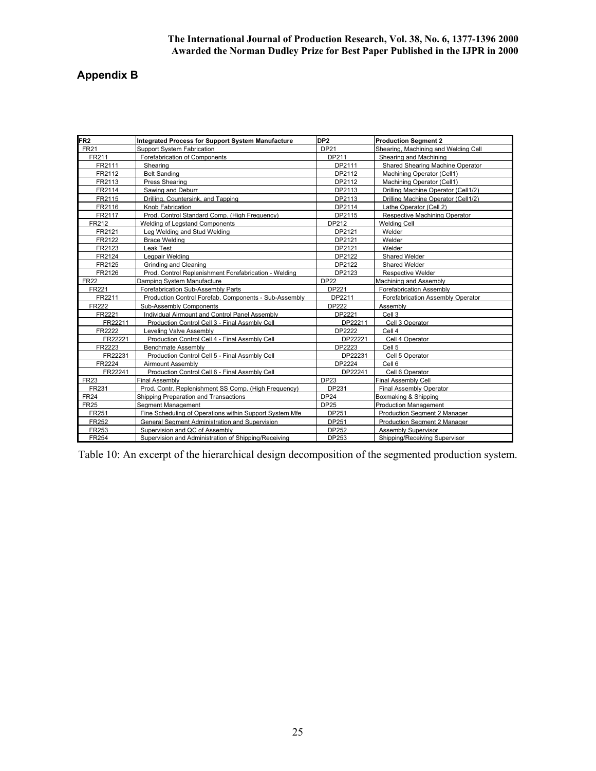# **Appendix B**

| FR <sub>2</sub> | <b>Integrated Process for Support System Manufacture</b> | DP <sub>2</sub> | <b>Production Segment 2</b>          |
|-----------------|----------------------------------------------------------|-----------------|--------------------------------------|
| <b>FR21</b>     | <b>Support System Fabrication</b>                        | <b>DP21</b>     | Shearing, Machining and Welding Cell |
| FR211           | Forefabrication of Components                            | DP211           | Shearing and Machining               |
| FR2111          | Shearing                                                 | DP2111          | Shared Shearing Machine Operator     |
| FR2112          | <b>Belt Sanding</b>                                      | DP2112          | Machining Operator (Cell1)           |
| FR2113          | <b>Press Shearing</b>                                    | DP2112          | Machining Operator (Cell1)           |
| FR2114          | Sawing and Deburr                                        | DP2113          | Drilling Machine Operator (Cell1/2)  |
| FR2115          | Drilling, Countersink, and Tapping                       | DP2113          | Drilling Machine Operator (Cell1/2)  |
| FR2116          | Knob Fabrication                                         | DP2114          | Lathe Operator (Cell 2)              |
| FR2117          | Prod. Control Standard Comp. (High Frequency)            | DP2115          | Respective Machining Operator        |
| FR212           | Welding of Legstand Components                           | DP212           | <b>Welding Cell</b>                  |
| FR2121          | Lea Welding and Stud Welding                             | DP2121          | Welder                               |
| FR2122          | Brace Welding                                            | DP2121          | Welder                               |
| FR2123          | Leak Test                                                | DP2121          | Welder                               |
| FR2124          | Legpair Welding                                          | DP2122          | <b>Shared Welder</b>                 |
| FR2125          | Grinding and Cleaning                                    | DP2122          | Shared Welder                        |
| FR2126          | Prod. Control Replenishment Forefabrication - Welding    | DP2123          | <b>Respective Welder</b>             |
| <b>FR22</b>     | Damping System Manufacture                               | <b>DP22</b>     | Machining and Assembly               |
| FR221           | Forefabrication Sub-Assembly Parts                       | DP221           | Forefabrication Assembly             |
| FR2211          | Production Control Forefab. Components - Sub-Assembly    | DP2211          | Forefabrication Assembly Operator    |
| <b>FR222</b>    | Sub-Assembly Components                                  | <b>DP222</b>    | Assembly                             |
| FR2221          | Individual Airmount and Control Panel Assembly           | DP2221          | Cell 3                               |
| FR22211         | Production Control Cell 3 - Final Assmbly Cell           | DP22211         | Cell 3 Operator                      |
| FR2222          | Leveling Valve Assembly                                  | DP2222          | Cell 4                               |
| FR22221         | Production Control Cell 4 - Final Assmbly Cell           | DP22221         | Cell 4 Operator                      |
| FR2223          | <b>Benchmate Assembly</b>                                | DP2223          | Cell <sub>5</sub>                    |
| FR22231         | Production Control Cell 5 - Final Assmbly Cell           | DP22231         | Cell 5 Operator                      |
| FR2224          | Airmount Assembly                                        | DP2224          | Cell 6                               |
| FR22241         | Production Control Cell 6 - Final Assmbly Cell           | DP22241         | Cell 6 Operator                      |
| FR23            | Final Assembly                                           | DP23            | Final Assembly Cell                  |
| FR231           | Prod. Contr. Replenishment SS Comp. (High Frequency)     | DP231           | <b>Final Assembly Operator</b>       |
| FR24            | Shipping Preparation and Transactions                    | <b>DP24</b>     | Boxmaking & Shipping                 |
| <b>FR25</b>     | Segment Management                                       | <b>DP25</b>     | <b>Production Management</b>         |
| FR251           | Fine Scheduling of Operations within Support System Mfe  | DP251           | Production Segment 2 Manager         |
| FR252           | General Segment Administration and Supervision           | DP251           | Production Segment 2 Manager         |
| FR253           | Supervision and QC of Assembly                           | DP252           | <b>Assembly Supervisor</b>           |
| FR254           | Supervision and Administration of Shipping/Receiving     | DP253           | Shipping/Receiving Supervisor        |

Table 10: An excerpt of the hierarchical design decomposition of the segmented production system.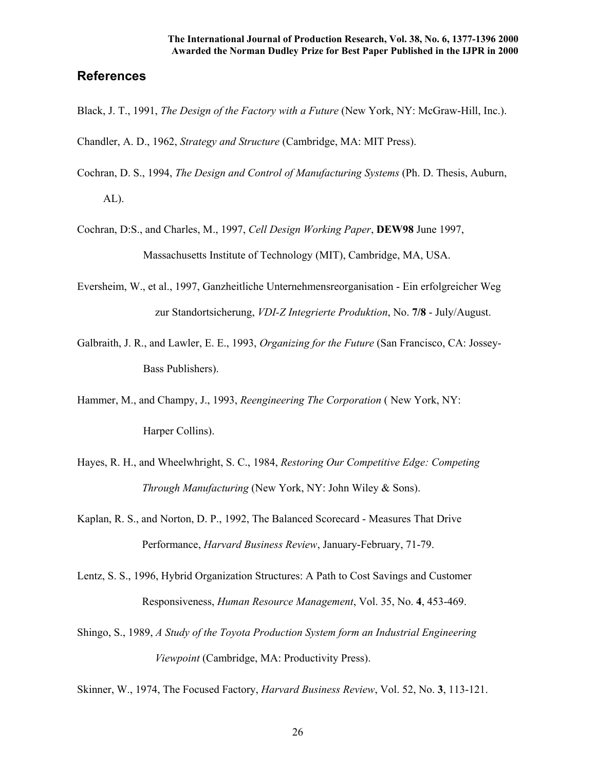## **References**

Black, J. T., 1991, *The Design of the Factory with a Future* (New York, NY: McGraw-Hill, Inc.).

Chandler, A. D., 1962, *Strategy and Structure* (Cambridge, MA: MIT Press).

- Cochran, D. S., 1994, *The Design and Control of Manufacturing Systems* (Ph. D. Thesis, Auburn, AL).
- Cochran, D:S., and Charles, M., 1997, *Cell Design Working Paper*, **DEW98** June 1997, Massachusetts Institute of Technology (MIT), Cambridge, MA, USA.
- Eversheim, W., et al., 1997, Ganzheitliche Unternehmensreorganisation Ein erfolgreicher Weg zur Standortsicherung, *VDI-Z Integrierte Produktion*, No. **7/8** - July/August.
- Galbraith, J. R., and Lawler, E. E., 1993, *Organizing for the Future* (San Francisco, CA: Jossey-Bass Publishers).
- Hammer, M., and Champy, J., 1993, *Reengineering The Corporation* ( New York, NY: Harper Collins).
- Hayes, R. H., and Wheelwhright, S. C., 1984, *Restoring Our Competitive Edge: Competing Through Manufacturing* (New York, NY: John Wiley & Sons).
- Kaplan, R. S., and Norton, D. P., 1992, The Balanced Scorecard Measures That Drive Performance, *Harvard Business Review*, January-February, 71-79.
- Lentz, S. S., 1996, Hybrid Organization Structures: A Path to Cost Savings and Customer Responsiveness, *Human Resource Management*, Vol. 35, No. **4**, 453-469.
- Shingo, S., 1989, *A Study of the Toyota Production System form an Industrial Engineering Viewpoint* (Cambridge, MA: Productivity Press).

Skinner, W., 1974, The Focused Factory, *Harvard Business Review*, Vol. 52, No. **3**, 113-121.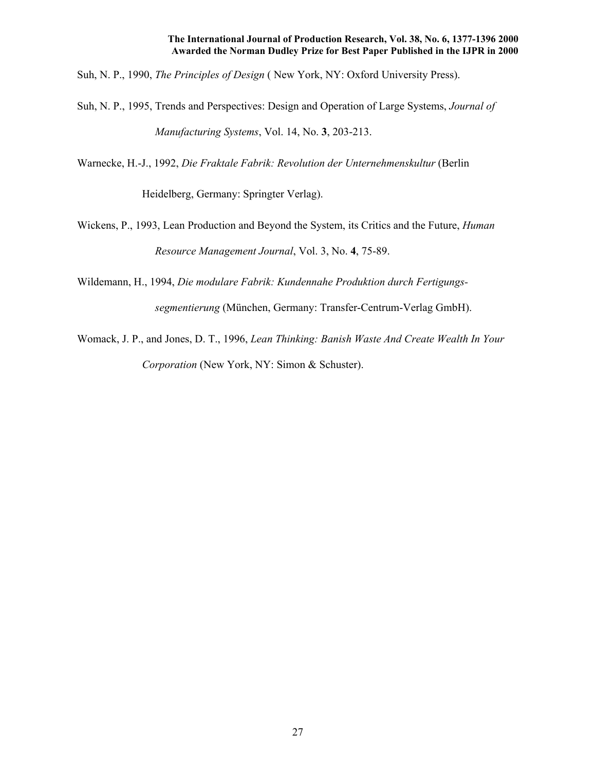Suh, N. P., 1990, *The Principles of Design* ( New York, NY: Oxford University Press).

- Suh, N. P., 1995, Trends and Perspectives: Design and Operation of Large Systems, *Journal of Manufacturing Systems*, Vol. 14, No. **3**, 203-213.
- Warnecke, H.-J., 1992, *Die Fraktale Fabrik: Revolution der Unternehmenskultur* (Berlin

Heidelberg, Germany: Springter Verlag).

- Wickens, P., 1993, Lean Production and Beyond the System, its Critics and the Future, *Human Resource Management Journal*, Vol. 3, No. **4**, 75-89.
- Wildemann, H., 1994, *Die modulare Fabrik: Kundennahe Produktion durch Fertigungs segmentierung* (München, Germany: Transfer-Centrum-Verlag GmbH).
- Womack, J. P., and Jones, D. T., 1996, *Lean Thinking: Banish Waste And Create Wealth In Your Corporation* (New York, NY: Simon & Schuster).